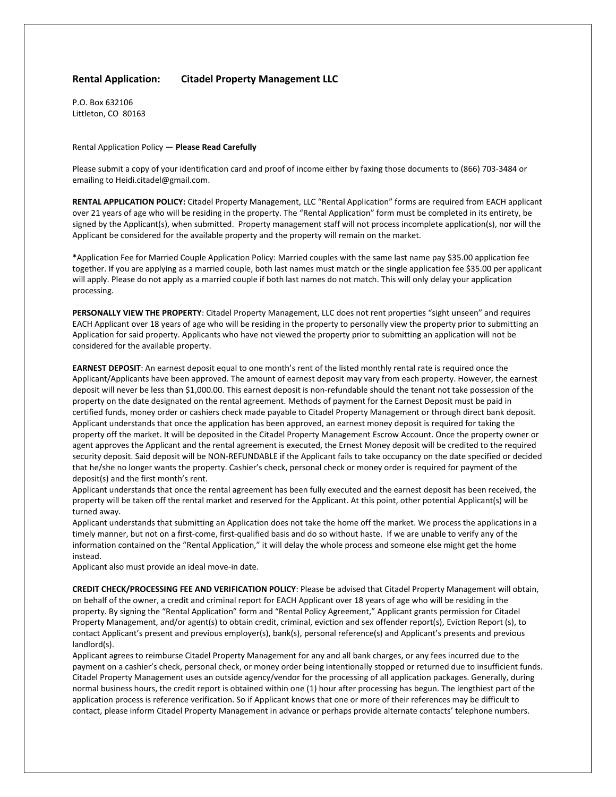## **Rental Application: Citadel Property Management LLC**

P.O. Box 632106 Littleton, CO 80163

## Rental Application Policy — **Please Read Carefully**

Please submit a copy of your identification card and proof of income either by faxing those documents to (866) 703-3484 or emailing to Heidi.citadel@gmail.com.

**RENTAL APPLICATION POLICY:** Citadel Property Management, LLC "Rental Application" forms are required from EACH applicant over 21 years of age who will be residing in the property. The "Rental Application" form must be completed in its entirety, be signed by the Applicant(s), when submitted. Property management staff will not process incomplete application(s), nor will the Applicant be considered for the available property and the property will remain on the market.

\*Application Fee for Married Couple Application Policy: Married couples with the same last name pay \$35.00 application fee together. If you are applying as a married couple, both last names must match or the single application fee \$35.00 per applicant will apply. Please do not apply as a married couple if both last names do not match. This will only delay your application processing.

**PERSONALLY VIEW THE PROPERTY**: Citadel Property Management, LLC does not rent properties "sight unseen" and requires EACH Applicant over 18 years of age who will be residing in the property to personally view the property prior to submitting an Application for said property. Applicants who have not viewed the property prior to submitting an application will not be considered for the available property.

**EARNEST DEPOSIT**: An earnest deposit equal to one month's rent of the listed monthly rental rate is required once the Applicant/Applicants have been approved. The amount of earnest deposit may vary from each property. However, the earnest deposit will never be less than \$1,000.00. This earnest deposit is non-refundable should the tenant not take possession of the property on the date designated on the rental agreement. Methods of payment for the Earnest Deposit must be paid in certified funds, money order or cashiers check made payable to Citadel Property Management or through direct bank deposit. Applicant understands that once the application has been approved, an earnest money deposit is required for taking the property off the market. It will be deposited in the Citadel Property Management Escrow Account. Once the property owner or agent approves the Applicant and the rental agreement is executed, the Ernest Money deposit will be credited to the required security deposit. Said deposit will be NON-REFUNDABLE if the Applicant fails to take occupancy on the date specified or decided that he/she no longer wants the property. Cashier's check, personal check or money order is required for payment of the deposit(s) and the first month's rent.

Applicant understands that once the rental agreement has been fully executed and the earnest deposit has been received, the property will be taken off the rental market and reserved for the Applicant. At this point, other potential Applicant(s) will be turned away.

Applicant understands that submitting an Application does not take the home off the market. We process the applications in a timely manner, but not on a first-come, first-qualified basis and do so without haste. If we are unable to verify any of the information contained on the "Rental Application," it will delay the whole process and someone else might get the home instead.

Applicant also must provide an ideal move-in date.

**CREDIT CHECK/PROCESSING FEE AND VERIFICATION POLICY**: Please be advised that Citadel Property Management will obtain, on behalf of the owner, a credit and criminal report for EACH Applicant over 18 years of age who will be residing in the property. By signing the "Rental Application" form and "Rental Policy Agreement," Applicant grants permission for Citadel Property Management, and/or agent(s) to obtain credit, criminal, eviction and sex offender report(s), Eviction Report (s), to contact Applicant's present and previous employer(s), bank(s), personal reference(s) and Applicant's presents and previous landlord(s).

Applicant agrees to reimburse Citadel Property Management for any and all bank charges, or any fees incurred due to the payment on a cashier's check, personal check, or money order being intentionally stopped or returned due to insufficient funds. Citadel Property Management uses an outside agency/vendor for the processing of all application packages. Generally, during normal business hours, the credit report is obtained within one (1) hour after processing has begun. The lengthiest part of the application process is reference verification. So if Applicant knows that one or more of their references may be difficult to contact, please inform Citadel Property Management in advance or perhaps provide alternate contacts' telephone numbers.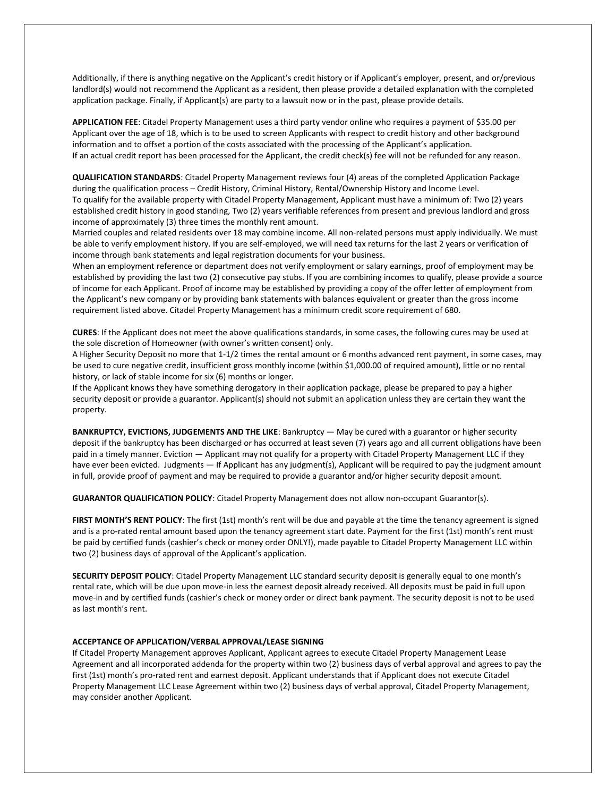Additionally, if there is anything negative on the Applicant's credit history or if Applicant's employer, present, and or/previous landlord(s) would not recommend the Applicant as a resident, then please provide a detailed explanation with the completed application package. Finally, if Applicant(s) are party to a lawsuit now or in the past, please provide details.

**APPLICATION FEE**: Citadel Property Management uses a third party vendor online who requires a payment of \$35.00 per Applicant over the age of 18, which is to be used to screen Applicants with respect to credit history and other background information and to offset a portion of the costs associated with the processing of the Applicant's application. If an actual credit report has been processed for the Applicant, the credit check(s) fee will not be refunded for any reason.

**QUALIFICATION STANDARDS**: Citadel Property Management reviews four (4) areas of the completed Application Package during the qualification process – Credit History, Criminal History, Rental/Ownership History and Income Level. To qualify for the available property with Citadel Property Management, Applicant must have a minimum of: Two (2) years established credit history in good standing, Two (2) years verifiable references from present and previous landlord and gross income of approximately (3) three times the monthly rent amount.

Married couples and related residents over 18 may combine income. All non-related persons must apply individually. We must be able to verify employment history. If you are self-employed, we will need tax returns for the last 2 years or verification of income through bank statements and legal registration documents for your business.

When an employment reference or department does not verify employment or salary earnings, proof of employment may be established by providing the last two (2) consecutive pay stubs. If you are combining incomes to qualify, please provide a source of income for each Applicant. Proof of income may be established by providing a copy of the offer letter of employment from the Applicant's new company or by providing bank statements with balances equivalent or greater than the gross income requirement listed above. Citadel Property Management has a minimum credit score requirement of 680.

**CURES**: If the Applicant does not meet the above qualifications standards, in some cases, the following cures may be used at the sole discretion of Homeowner (with owner's written consent) only.

A Higher Security Deposit no more that 1-1/2 times the rental amount or 6 months advanced rent payment, in some cases, may be used to cure negative credit, insufficient gross monthly income (within \$1,000.00 of required amount), little or no rental history, or lack of stable income for six (6) months or longer.

If the Applicant knows they have something derogatory in their application package, please be prepared to pay a higher security deposit or provide a guarantor. Applicant(s) should not submit an application unless they are certain they want the property.

**BANKRUPTCY, EVICTIONS, JUDGEMENTS AND THE LIKE**: Bankruptcy — May be cured with a guarantor or higher security deposit if the bankruptcy has been discharged or has occurred at least seven (7) years ago and all current obligations have been paid in a timely manner. Eviction — Applicant may not qualify for a property with Citadel Property Management LLC if they have ever been evicted. Judgments — If Applicant has any judgment(s), Applicant will be required to pay the judgment amount in full, provide proof of payment and may be required to provide a guarantor and/or higher security deposit amount.

**GUARANTOR QUALIFICATION POLICY**: Citadel Property Management does not allow non-occupant Guarantor(s).

**FIRST MONTH'S RENT POLICY**: The first (1st) month's rent will be due and payable at the time the tenancy agreement is signed and is a pro-rated rental amount based upon the tenancy agreement start date. Payment for the first (1st) month's rent must be paid by certified funds (cashier's check or money order ONLY!), made payable to Citadel Property Management LLC within two (2) business days of approval of the Applicant's application.

**SECURITY DEPOSIT POLICY**: Citadel Property Management LLC standard security deposit is generally equal to one month's rental rate, which will be due upon move-in less the earnest deposit already received. All deposits must be paid in full upon move-in and by certified funds (cashier's check or money order or direct bank payment. The security deposit is not to be used as last month's rent.

## **ACCEPTANCE OF APPLICATION/VERBAL APPROVAL/LEASE SIGNING**

If Citadel Property Management approves Applicant, Applicant agrees to execute Citadel Property Management Lease Agreement and all incorporated addenda for the property within two (2) business days of verbal approval and agrees to pay the first (1st) month's pro-rated rent and earnest deposit. Applicant understands that if Applicant does not execute Citadel Property Management LLC Lease Agreement within two (2) business days of verbal approval, Citadel Property Management, may consider another Applicant.